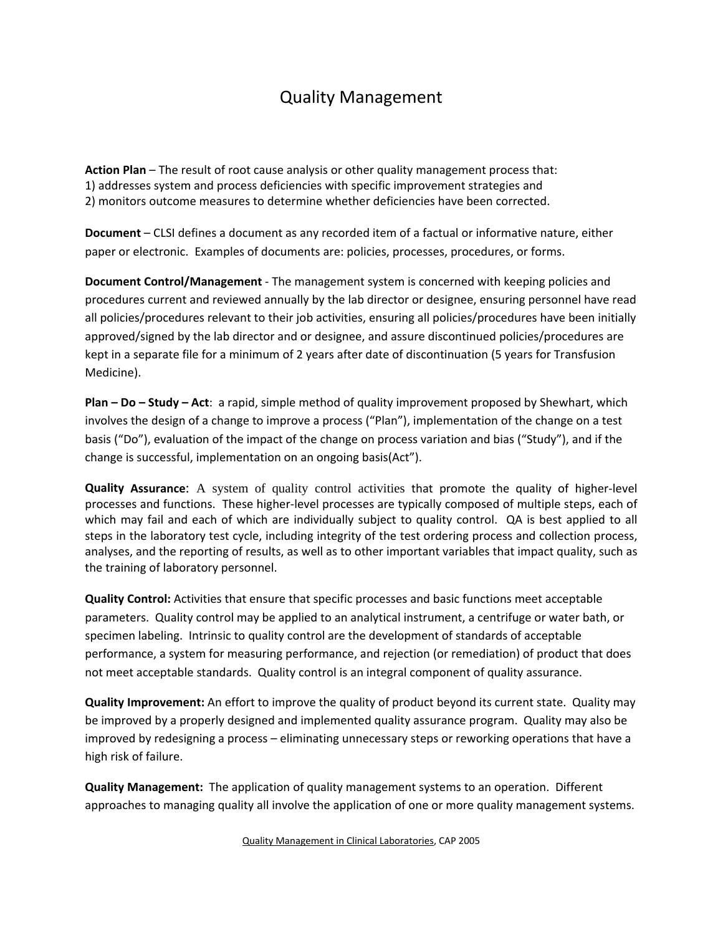## Quality Management

**Action Plan** – The result of root cause analysis or other quality management process that: 1) addresses system and process deficiencies with specific improvement strategies and 2) monitors outcome measures to determine whether deficiencies have been corrected.

**Document** – CLSI defines a document as any recorded item of a factual or informative nature, either paper or electronic. Examples of documents are: policies, processes, procedures, or forms.

**Document Control/Management** ‐ The management system is concerned with keeping policies and procedures current and reviewed annually by the lab director or designee, ensuring personnel have read all policies/procedures relevant to their job activities, ensuring all policies/procedures have been initially approved/signed by the lab director and or designee, and assure discontinued policies/procedures are kept in a separate file for a minimum of 2 years after date of discontinuation (5 years for Transfusion Medicine).

**Plan – Do – Study – Act**: a rapid, simple method of quality improvement proposed by Shewhart, which involves the design of a change to improve a process ("Plan"), implementation of the change on a test basis ("Do"), evaluation of the impact of the change on process variation and bias ("Study"), and if the change is successful, implementation on an ongoing basis(Act").

**Quality Assurance**: A system of quality control activities that promote the quality of higher‐level processes and functions. These higher‐level processes are typically composed of multiple steps, each of which may fail and each of which are individually subject to quality control. QA is best applied to all steps in the laboratory test cycle, including integrity of the test ordering process and collection process, analyses, and the reporting of results, as well as to other important variables that impact quality, such as the training of laboratory personnel.

**Quality Control:** Activities that ensure that specific processes and basic functions meet acceptable parameters. Quality control may be applied to an analytical instrument, a centrifuge or water bath, or specimen labeling. Intrinsic to quality control are the development of standards of acceptable performance, a system for measuring performance, and rejection (or remediation) of product that does not meet acceptable standards. Quality control is an integral component of quality assurance.

**Quality Improvement:** An effort to improve the quality of product beyond its current state. Quality may be improved by a properly designed and implemented quality assurance program. Quality may also be improved by redesigning a process – eliminating unnecessary steps or reworking operations that have a high risk of failure.

**Quality Management:** The application of quality management systems to an operation. Different approaches to managing quality all involve the application of one or more quality management systems.

Quality Management in Clinical Laboratories, CAP 2005